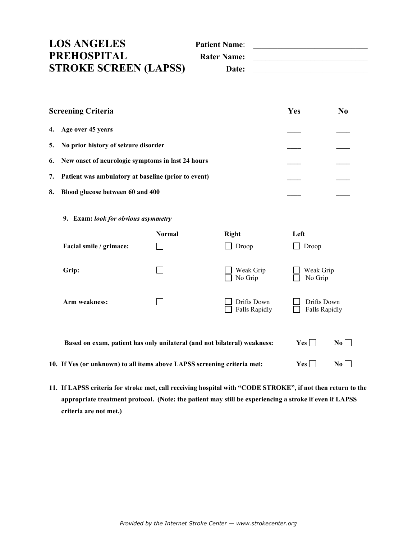| <b>LOS ANGELES</b>           | <b>Patient Name:</b> |  |
|------------------------------|----------------------|--|
| PREHOSPITAL                  | <b>Rater Name:</b>   |  |
| <b>STROKE SCREEN (LAPSS)</b> | Date:                |  |

| <b>Screening Criteria</b>                              | Yes | N <sub>0</sub> |
|--------------------------------------------------------|-----|----------------|
| 4. Age over 45 years                                   |     |                |
| 5. No prior history of seizure disorder                |     |                |
| 6. New onset of neurologic symptoms in last 24 hours   |     |                |
| 7. Patient was ambulatory at baseline (prior to event) |     |                |
| Blood glucose between 60 and 400<br>8.                 |     |                |

**9. Exam:** *look for obvious asymmetry*

|                                                                          | <b>Normal</b> | <b>Right</b>                        | Left                                |
|--------------------------------------------------------------------------|---------------|-------------------------------------|-------------------------------------|
| Facial smile / grimace:                                                  |               | Droop                               | Droop                               |
| Grip:                                                                    |               | Weak Grip<br>No Grip                | Weak Grip<br>No Grip                |
| Arm weakness:                                                            |               | Drifts Down<br><b>Falls Rapidly</b> | Drifts Down<br><b>Falls Rapidly</b> |
| Based on exam, patient has only unilateral (and not bilateral) weakness: |               | Yes  <br>$\bf{No}$                  |                                     |

**10.** If Yes (or unknown) to all items above LAPSS screening criteria met:  $Yes \Box \qquad No \Box$ 

**11. If LAPSS criteria for stroke met, call receiving hospital with "CODE STROKE", if not then return to the appropriate treatment protocol. (Note: the patient may still be experiencing a stroke if even if LAPSS criteria are not met.)**